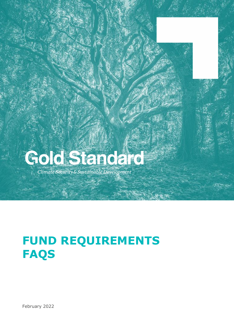# Gold Standard

Climate Security & Sustainable Development

# **FUND REQUIREMENTS FAQS**

February 2022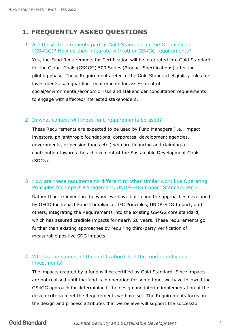## **1. FREQUENTLY ASKED QUESTIONS**

#### 1. Are these Requirements part of Gold Standard for the Global Goals (GS4GG)? How do they integrate with other GS4GG requirements?

Yes, the Fund Requirements for Certification will be integrated into Gold Standard for the Global Goals (GS4GG) 500 Series (Product Specifications) after the piloting phase. These Requirements refer to the Gold Standard eligibility rules for investments, safeguarding requirements for assessment of social/environmental/economic risks and stakeholder consultation requirements to engage with affected/interested stakeholders.

#### 2. In what context will these fund requirements be used?

These Requirements are expected to be used by Fund Managers (i.e., impact investors, philanthropic foundations, corporates, development agencies, governments, or pension funds etc.) who are financing and claiming a contribution towards the achievement of the Sustainable Development Goals (SDGs).

#### 3. How are these requirements different to other similar work like Operating Principles for Impact Management, UNDP-SDG Impact Standard etc.?

Rather than re-inventing the wheel we have built upon the approaches developed by OECD for Impact Fund Compliance, IFC Principles, UNDP-SDG Impact, and others, integrating the Requirements into the existing GS4GG core standard, which has assured credible impacts for nearly 20 years. These requirements go further than existing approaches by requiring third-party verification of measurable positive SDG impacts.

#### 4. What is the subject of the certification? Is it the fund or individual investments?

The impacts created by a fund will be certified by Gold Standard. Since impacts are not realised until the fund is in operation for some time, we have followed the GS4GG approach for determining if the design and interim implementation of the design criteria meet the Requirements we have set. The Requirements focus on the design and process attributes that we believe will support the successful

### **Gold Standard**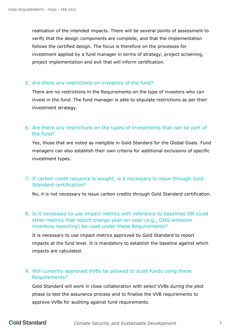realisation of the intended impacts. There will be several points of assessment to verify that the design components are complete, and that the implementation follows the certified design. The focus is therefore on the processes for investment applied by a fund manager in terms of strategy, project screening, project implementation and exit that will inform certification.

#### 5. Are there any restrictions on investors of the fund?

There are no restrictions in the Requirements on the type of investors who can invest in the fund. The fund manager is able to stipulate restrictions as per their investment strategy.

#### 6. Are there any restrictions on the types of investments that can be part of the fund?

Yes, those that are noted as ineligible in Gold Standard for the Global Goals. Fund managers can also establish their own criteria for additional exclusions of specific investment types.

#### 7. If carbon credit issuance is sought, is it necessary to issue through Gold Standard certification?

No, it is not necessary to issue carbon credits through Gold Standard certification.

8. Is it necessary to use impact metrics with reference to baselines OR could other metrics that report change year-on-year (e.g., GHG emission inventory reporting) be used under these Requirements?

It is necessary to use impact metrics approved by Gold Standard to report impacts at the fund level. It is mandatory to establish the baseline against which impacts are calculated.

#### 9. Will currently approved VVBs be allowed to audit funds using these Requirements?

Gold Standard will work in close collaboration with select VVBs during the pilot phase to test the assurance process and to finalise the VVB requirements to approve VVBs for auditing against fund requirements.